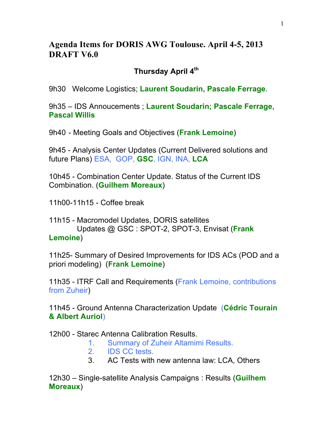## **Agenda Items for DORIS AWG Toulouse. April 4-5, 2013 DRAFT V6.0**

#### **Thursday April 4th**

9h30 Welcome Logistics; **Laurent Soudarin, Pascale Ferrage**.

9h35 – IDS Annoucements ; **Laurent Soudarin; Pascale Ferrage, Pascal Willis**

9h40 - Meeting Goals and Objectives (**Frank Lemoine**)

9h45 - Analysis Center Updates (Current Delivered solutions and future Plans) ESA, GOP, **GSC**, IGN, INA, **LCA**

10h45 - Combination Center Update. Status of the Current IDS Combination. (**Guilhem Moreaux**)

11h00-11h15 - Coffee break

11h15 - Macromodel Updates, DORIS satellites Updates @ GSC : SPOT-2, SPOT-3, Envisat (**Frank Lemoine**)

11h25- Summary of Desired Improvements for IDS ACs (POD and a priori modeling) (**Frank Lemoine**)

11h35 - ITRF Call and Requirements (Frank Lemoine, contributions from Zuheir)

11h45 - Ground Antenna Characterization Update (**Cédric Tourain & Albert Auriol**)

12h00 - Starec Antenna Calibration Results.

- 1. Summary of Zuheir Altamimi Results.
- 2. IDS CC tests.
- 3. AC Tests with new antenna law: LCA, Others

12h30 – Single-satellite Analysis Campaigns : Results (**Guilhem Moreaux**)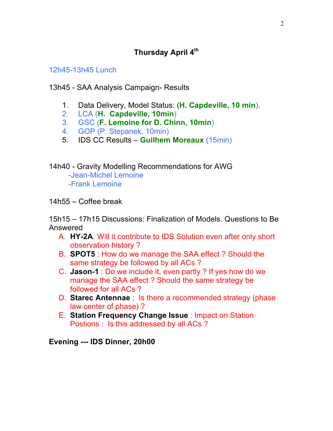### **Thursday April 4th**

#### 12h45-13h45 Lunch

- 13h45 SAA Analysis Campaign- Results
	- 1. Data Delivery, Model Status: (**H. Capdeville, 10 min**).
	- 2. LCA (**H. Capdeville, 10min**)
	- 3. GSC (**F. Lemoine for D. Chinn, 10min**)
	- 4. GOP (P. Stepanek, 10min)
	- 5. IDS CC Results **Guilhem Moreaux** (15min)

14h40 - Gravity Modelling Recommendations for AWG

-Jean-Michel Lemoine -Frank Lemoine

14h55 – Coffee break

15h15 – 17h15 Discussions: Finalization of Models. Questions to Be Answered

- A. **HY-2A**. Will it contribute to IDS Solution even after only short observation history ?
- B. **SPOT5** : How do we manage the SAA effect ? Should the same strategy be followed by all ACs ?
- C. **Jason-1** : Do we include it, even partly ? If yes how do we manage the SAA effect ? Should the same strategy be followed for all ACs ?
- D. **Starec Antennae** : Is there a recommended strategy (phase law center of phase) ?
- E. **Station Frequency Change Issue** : Impact on Station Postions : Is this addressed by all ACs ?

**Evening --- IDS Dinner, 20h00**